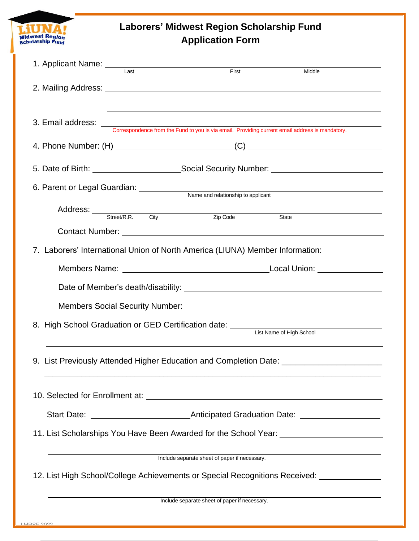# **Laborers' Midwest Region Scholarship Fund Application Form**

| 1. Applicant Name: Last                                                                  |  | First                                                                                                                    | Middle                                                                                                        |
|------------------------------------------------------------------------------------------|--|--------------------------------------------------------------------------------------------------------------------------|---------------------------------------------------------------------------------------------------------------|
|                                                                                          |  |                                                                                                                          |                                                                                                               |
|                                                                                          |  | 3. Email address: <u>Correspondence from the Fund to you is via email.</u> Providing current email address is mandatory. |                                                                                                               |
|                                                                                          |  |                                                                                                                          |                                                                                                               |
|                                                                                          |  |                                                                                                                          |                                                                                                               |
| 6. Parent or Legal Guardian: <u>Name and relationship to applicant</u>                   |  |                                                                                                                          |                                                                                                               |
|                                                                                          |  | Address: Street/R.R. City Zip Code                                                                                       | State                                                                                                         |
|                                                                                          |  |                                                                                                                          | Contact Number: University of the Contact Number of the Contact Number of the Contact Number of the Contact O |
| 7. Laborers' International Union of North America (LIUNA) Member Information:            |  |                                                                                                                          |                                                                                                               |
|                                                                                          |  |                                                                                                                          |                                                                                                               |
|                                                                                          |  |                                                                                                                          |                                                                                                               |
|                                                                                          |  |                                                                                                                          |                                                                                                               |
| 8. High School Graduation or GED Certification date: List Name of High School            |  |                                                                                                                          |                                                                                                               |
| 9. List Previously Attended Higher Education and Completion Date: _____________________  |  |                                                                                                                          |                                                                                                               |
|                                                                                          |  |                                                                                                                          | 10. Selected for Enrollment at: <u>contract and a selected</u> for Enrolment at:                              |
|                                                                                          |  |                                                                                                                          |                                                                                                               |
| 11. List Scholarships You Have Been Awarded for the School Year: ________________        |  |                                                                                                                          |                                                                                                               |
|                                                                                          |  | Include separate sheet of paper if necessary.                                                                            |                                                                                                               |
| 12. List High School/College Achievements or Special Recognitions Received: ____________ |  |                                                                                                                          |                                                                                                               |
| Include separate sheet of paper if necessary.                                            |  |                                                                                                                          |                                                                                                               |

Midwest Region<br>Scholarship Fund